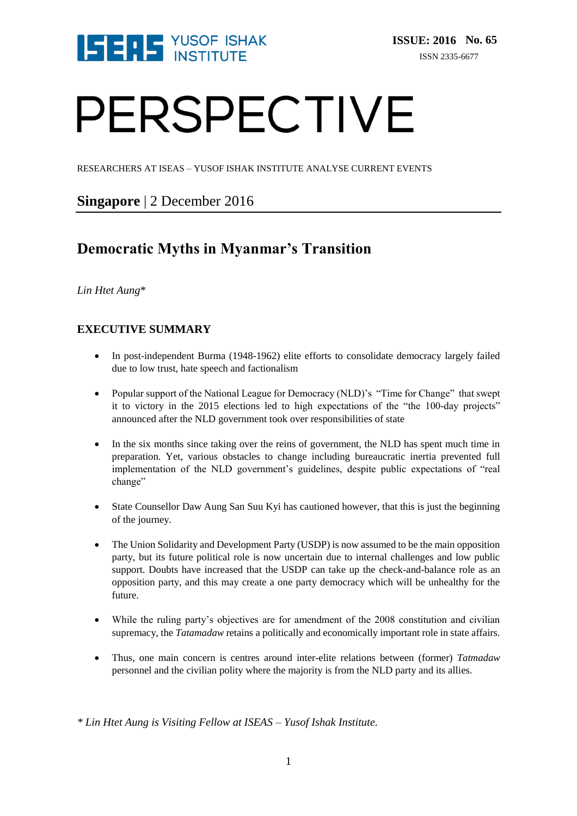

# PERSPECTIVE

RESEARCHERS AT ISEAS – YUSOF ISHAK INSTITUTE ANALYSE CURRENT EVENTS

### **Singapore** | 2 December 2016

## **Democratic Myths in Myanmar's Transition**

#### *Lin Htet Aung*\*

#### **EXECUTIVE SUMMARY**

- In post-independent Burma (1948-1962) elite efforts to consolidate democracy largely failed due to low trust, hate speech and factionalism
- Popular support of the National League for Democracy (NLD)'s "Time for Change" that swept it to victory in the 2015 elections led to high expectations of the "the 100-day projects" announced after the NLD government took over responsibilities of state
- In the six months since taking over the reins of government, the NLD has spent much time in preparation. Yet, various obstacles to change including bureaucratic inertia prevented full implementation of the NLD government's guidelines, despite public expectations of "real change"
- State Counsellor Daw Aung San Suu Kyi has cautioned however, that this is just the beginning of the journey.
- The Union Solidarity and Development Party (USDP) is now assumed to be the main opposition party, but its future political role is now uncertain due to internal challenges and low public support. Doubts have increased that the USDP can take up the check-and-balance role as an opposition party, and this may create a one party democracy which will be unhealthy for the future.
- While the ruling party's objectives are for amendment of the 2008 constitution and civilian supremacy, the *Tatamadaw* retains a politically and economically important role in state affairs.
- Thus, one main concern is centres around inter-elite relations between (former) *Tatmadaw* personnel and the civilian polity where the majority is from the NLD party and its allies.

*\* Lin Htet Aung is Visiting Fellow at ISEAS – Yusof Ishak Institute.*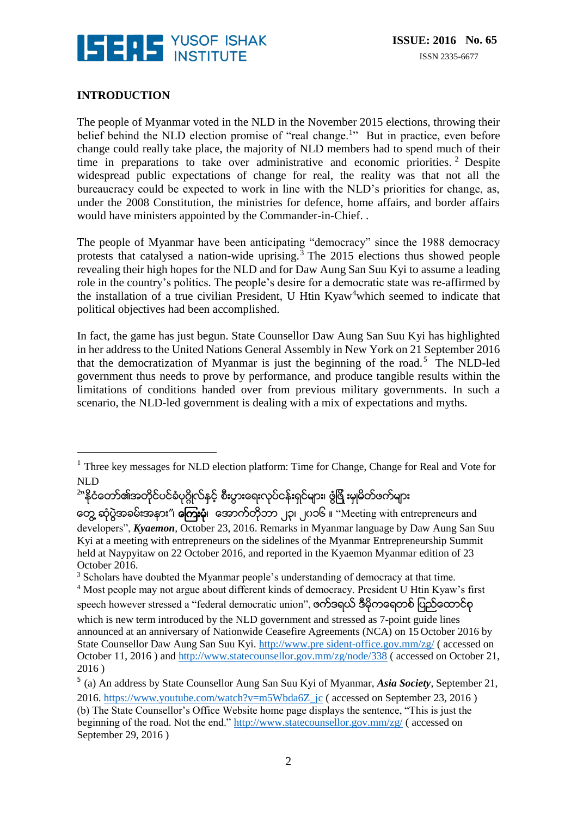

#### **INTRODUCTION**

 $\overline{a}$ 

The people of Myanmar voted in the NLD in the November 2015 elections, throwing their belief behind the NLD election promise of "real change.<sup>1</sup>" But in practice, even before change could really take place, the majority of NLD members had to spend much of their time in preparations to take over administrative and economic priorities.  $2$  Despite widespread public expectations of change for real, the reality was that not all the bureaucracy could be expected to work in line with the NLD's priorities for change, as, under the 2008 Constitution, the ministries for defence, home affairs, and border affairs would have ministers appointed by the Commander-in-Chief. .

The people of Myanmar have been anticipating "democracy" since the 1988 democracy protests that catalysed a nation-wide uprising.<sup>3</sup> The 2015 elections thus showed people revealing their high hopes for the NLD and for Daw Aung San Suu Kyi to assume a leading role in the country's politics. The people's desire for a democratic state was re-affirmed by the installation of a true civilian President, U Htin Kyaw<sup>4</sup>which seemed to indicate that political objectives had been accomplished.

In fact, the game has just begun. State Counsellor Daw Aung San Suu Kyi has highlighted in her address to the United Nations General Assembly in New York on 21 September 2016 that the democratization of Myanmar is just the beginning of the road.<sup>5</sup> The NLD-led government thus needs to prove by performance, and produce tangible results within the limitations of conditions handed over from previous military governments. In such a scenario, the NLD-led government is dealing with a mix of expectations and myths.

<sup>&</sup>lt;sup>1</sup> Three key messages for NLD election platform: Time for Change, Change for Real and Vote for NLD

<sup>&</sup>lt;sup>2</sup>``နိုငံတော်၏အတိုင်ပင်ခံပုဂ္ဂိုလ်နှင့် စီးပွားရေးလုပ်ငန်းရှင်များ၊ ဖွံဖြိ းမှုမိတ်ဖက်များ

တွေ့ ဆုံပွဲအခမ်းအနား"၊ **ကြေးမုံ**၊ ့အောက်တိုဘာ ၂၃၊ ၂၀၁၆ ။ "Meeting with entrepreneurs and developers", *Kyaemon*, October 23, 2016. Remarks in Myanmar language by Daw Aung San Suu Kyi at a meeting with entrepreneurs on the sidelines of the Myanmar Entrepreneurship Summit held at Naypyitaw on 22 October 2016, and reported in the Kyaemon Myanmar edition of 23 October 2016.

<sup>&</sup>lt;sup>3</sup> Scholars have doubted the Myanmar people's understanding of democracy at that time.

<sup>4</sup> Most people may not argue about different kinds of democracy. President U Htin Kyaw's first

speech however stressed a "federal democratic union", ဖက်ဒရယ် ဒီမိုကရေတစ် ပြည်ထောင်စု which is new term introduced by the NLD government and stressed as 7-point guide lines announced at an anniversary of Nationwide Ceasefire Agreements (NCA) on 15 October 2016 by State Counsellor Daw Aung San Suu Kyi. http://www.pre sident-office.gov.mm/zg/ ( accessed on October 11, 2016) and<http://www.statecounsellor.gov.mm/zg/node/338> (accessed on October 21, 2016 )

<sup>5</sup> (a) An address by State Counsellor Aung San Suu Kyi of Myanmar, *Asia Society*, September 21,

<sup>2016.</sup> [https://www.youtube.com/watch?v=m5Wbda6Z\\_jc](https://www.youtube.com/watch?v=m5Wbda6Z_jc) ( accessed on September 23, 2016 ) (b) The State Counsellor's Office Website home page displays the sentence, "This is just the beginning of the road. Not the end."<http://www.statecounsellor.gov.mm/zg/> (accessed on September 29, 2016 )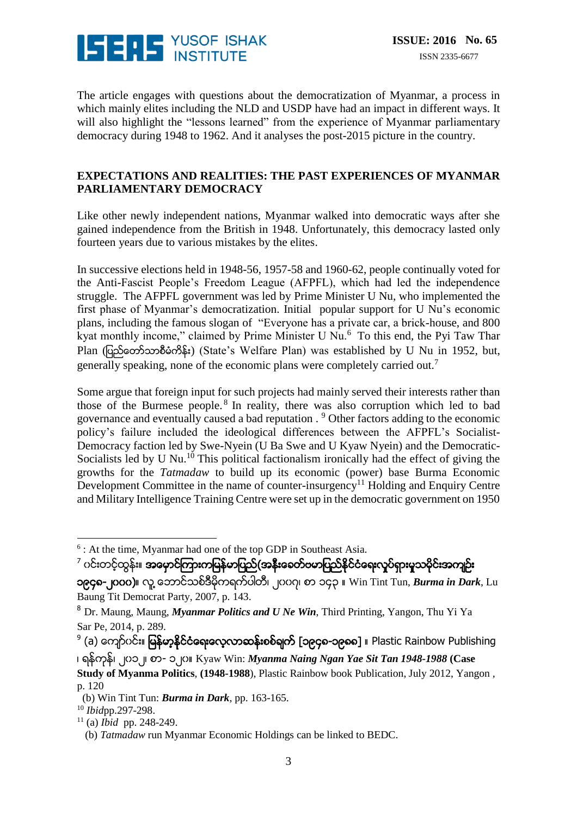

The article engages with questions about the democratization of Myanmar, a process in which mainly elites including the NLD and USDP have had an impact in different ways. It will also highlight the "lessons learned" from the experience of Myanmar parliamentary democracy during 1948 to 1962. And it analyses the post-2015 picture in the country.

#### **EXPECTATIONS AND REALITIES: THE PAST EXPERIENCES OF MYANMAR PARLIAMENTARY DEMOCRACY**

Like other newly independent nations, Myanmar walked into democratic ways after she gained independence from the British in 1948. Unfortunately, this democracy lasted only fourteen years due to various mistakes by the elites.

In successive elections held in 1948-56, 1957-58 and 1960-62, people continually voted for the Anti-Fascist People's Freedom League (AFPFL), which had led the independence struggle. The AFPFL government was led by Prime Minister U Nu, who implemented the first phase of Myanmar's democratization. Initial popular support for U Nu's economic plans, including the famous slogan of "Everyone has a private car, a brick-house, and 800 kyat monthly income," claimed by Prime Minister U Nu.<sup>6</sup> To this end, the Pyi Taw Thar Plan (ျပည္ေတာ္သာစီမံကိန္း) (State's Welfare Plan) was established by U Nu in 1952, but, generally speaking, none of the economic plans were completely carried out.<sup>7</sup>

Some argue that foreign input for such projects had mainly served their interests rather than those of the Burmese people.<sup>8</sup> In reality, there was also corruption which led to bad governance and eventually caused a bad reputation . <sup>9</sup> Other factors adding to the economic policy's failure included the ideological differences between the AFPFL's Socialist-Democracy faction led by Swe-Nyein (U Ba Swe and U Kyaw Nyein) and the Democratic-Socialists led by U Nu.<sup>10</sup> This political factionalism ironically had the effect of giving the growths for the *Tatmadaw* to build up its economic (power) base Burma Economic Development Committee in the name of counter-insurgency<sup>11</sup> Holding and Enquiry Centre and Military Intelligence Training Centre were set up in the democratic government on 1950

 $^7$  ဂင်းတင့်ထွန်း။ အမှောင်ကြားကမြန်မာပြည်(အနီးခေတ်ဗမာပြည်နိုင်ငံရေးလှုပ်ရှားမှုသမိုင်းအကျဉ်း

<sup>&</sup>lt;u>.</u> <sup>6</sup> : At the time, Myanmar had one of the top GDP in Southeast Asia.

၁၉၄၈-၂၀၀၀)။ လူ့ေဘာင္သစ္ဒီမုိကရက္ပါတီ၊ ၂၀၀၇၊ စာ ၁၄၃ ။ Win Tint Tun, *Burma in Dark*, Lu Baung Tit Democrat Party, 2007, p. 143.

<sup>8</sup> Dr. Maung, Maung, *Myanmar Politics and U Ne Win*, Third Printing, Yangon, Thu Yi Ya Sar Pe, 2014, p. 289.

<sup>&</sup>lt;sup>9</sup> (a) ကျော်ပင်း။ **မြန်မာ့နိုင်ငံရေးလေ့လာဆန်းစစ်ချက် [၁၉၄၈-၁၉၈၈]** ။ Plastic Rainbow Publishing

<sup>၊</sup> ရန္ကုန္၊ ၂၀၁၂၊ စာ- ၁၂၀။ Kyaw Win: *Myanma Naing Ngan Yae Sit Tan 1948-1988* **(Case Study of Myanma Politics**, **(1948-1988**), Plastic Rainbow book Publication, July 2012, Yangon *,*  p. 120

 <sup>(</sup>b) Win Tint Tun: *Burma in Dark*, pp. 163-165.

<sup>10</sup> *Ibid*pp.297-298.

<sup>11</sup> (a) *Ibid* pp. 248-249.

 <sup>(</sup>b) *Tatmadaw* run Myanmar Economic Holdings can be linked to BEDC.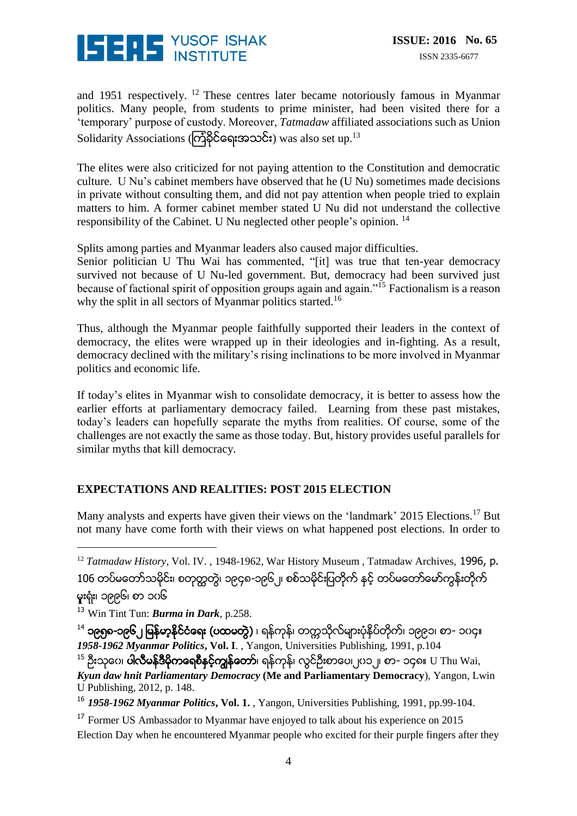

and 1951 respectively. <sup>12</sup> These centres later became notoriously famous in Myanmar politics. Many people, from students to prime minister, had been visited there for a 'temporary' purpose of custody. Moreover, *Tatmadaw* affiliated associations such as Union Solidarity Associations (ကြဲခိုင်ရေးအသင်း) was also set up.<sup>13</sup>

The elites were also criticized for not paying attention to the Constitution and democratic culture. U Nu's cabinet members have observed that he (U Nu) sometimes made decisions in private without consulting them, and did not pay attention when people tried to explain matters to him. A former cabinet member stated U Nu did not understand the collective responsibility of the Cabinet. U Nu neglected other people's opinion.<sup>14</sup>

Splits among parties and Myanmar leaders also caused major difficulties.

Senior politician U Thu Wai has commented, "[it] was true that ten-year democracy survived not because of U Nu-led government. But, democracy had been survived just because of factional spirit of opposition groups again and again."<sup>15</sup> Factionalism is a reason why the split in all sectors of Myanmar politics started.<sup>16</sup>

Thus, although the Myanmar people faithfully supported their leaders in the context of democracy, the elites were wrapped up in their ideologies and in-fighting. As a result, democracy declined with the military's rising inclinations to be more involved in Myanmar politics and economic life.

If today's elites in Myanmar wish to consolidate democracy, it is better to assess how the earlier efforts at parliamentary democracy failed. Learning from these past mistakes, today's leaders can hopefully separate the myths from realities. Of course, some of the challenges are not exactly the same as those today. But, history provides useful parallels for similar myths that kill democracy.

#### **EXPECTATIONS AND REALITIES: POST 2015 ELECTION**

Many analysts and experts have given their views on the 'landmark' 2015 Elections.<sup>17</sup> But not many have come forth with their views on what happened post elections. In order to

<sup>12</sup> *Tatmadaw History*, Vol. IV., 1948-1962, War History Museum, Tatmadaw Archives, 1996, p. 106 တပ်မတော်သမိုင်း၊ စတုတ္ထတွဲ၊ ၁၉၄၈-၁၉၆၂၊ စစ်သမိုင်းပြတိုက် နှင့် တပ်မတော်မော်ကွန်းတိုက် မွူးရုံး၊ ၁၉၉၆၊ စာ ၁၀၆

<sup>13</sup> Win Tint Tun: *Burma in Dark*, p.258.

 $\overline{a}$ 

<sup>14</sup> ၁၉၅၈-၁၉၆၂ ျမန္မာ့ႏိုင္ငံေရး (ပထမတြဲ) ၊ ရန္ကုန္၊ တကၠသိုလ္မ်ားပုံႏိွပ္တိုက္၊ ၁၉၉၁၊ စာ- ၁၀၄။ *1958-1962 Myanmar Politics***, Vol. I**. , Yangon, Universities Publishing, 1991, p.104

<sup>15</sup> ဦးသုေ၊ **ပါလီမန်ဒီမိုကရေစီနင့်ကျွန်တော်**၊ ရန်ကုန်၊ လွင်ဦးစာေပ၊၂၀၁၂၊ စာ- ၁၄၈။ U Thu Wai, *Kyun daw hnit Parliamentary Democracy* **(Me and Parliamentary Democracy**), Yangon, Lwin U Publishing, 2012, p. 148.

<sup>16</sup> *1958-1962 Myanmar Politics***, Vol. 1.** , Yangon, Universities Publishing, 1991, pp.99-104.

<sup>17</sup> Former US Ambassador to Myanmar have enjoyed to talk about his experience on 2015 Election Day when he encountered Myanmar people who excited for their purple fingers after they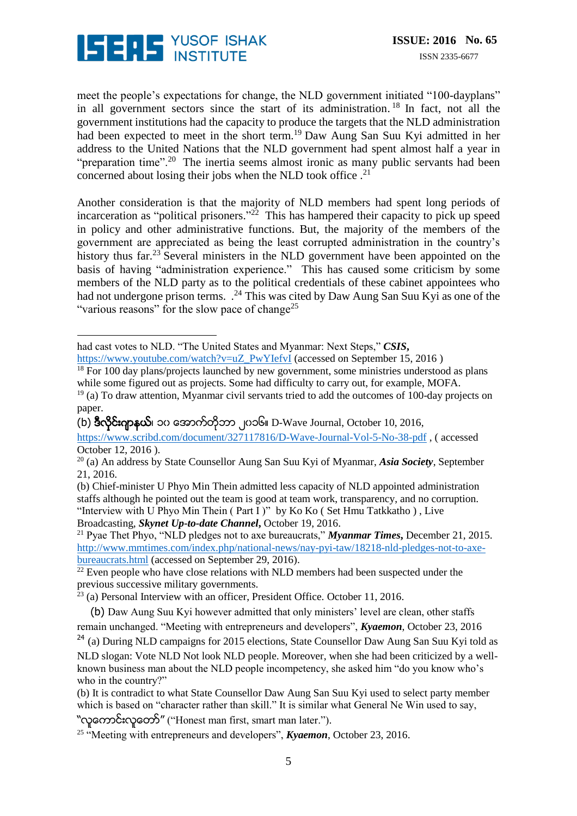

-

meet the people's expectations for change, the NLD government initiated "100-dayplans" in all government sectors since the start of its administration. <sup>18</sup> In fact, not all the government institutions had the capacity to produce the targets that the NLD administration had been expected to meet in the short term.<sup>19</sup> Daw Aung San Suu Kyi admitted in her address to the United Nations that the NLD government had spent almost half a year in "preparation time".<sup>20</sup> The inertia seems almost ironic as many public servants had been concerned about losing their jobs when the NLD took office  $.21$ 

Another consideration is that the majority of NLD members had spent long periods of incarceration as "political prisoners." <sup>22</sup> This has hampered their capacity to pick up speed in policy and other administrative functions. But, the majority of the members of the government are appreciated as being the least corrupted administration in the country's history thus far.<sup>23</sup> Several ministers in the NLD government have been appointed on the basis of having "administration experience." This has caused some criticism by some members of the NLD party as to the political credentials of these cabinet appointees who had not undergone prison terms. .<sup>24</sup> This was cited by Daw Aung San Suu Kyi as one of the "various reasons" for the slow pace of change<sup>25</sup>

(b) **ဒီလိုင်းဂျာနယ်**၊ ၁၀ အောက်တိုဘာ ၂၀၁၆။ D-Wave Journal, October 10, 2016,

Broadcasting, *Skynet Up-to-date Channel***,** October 19, 2016. <sup>21</sup> Pyae Thet Phyo, "NLD pledges not to axe bureaucrats," *Myanmar Times***,** December 21, 2015. [http://www.mmtimes.com/index.php/national-news/nay-pyi-taw/18218-nld-pledges-not-to-axe](http://www.mmtimes.com/index.php/national-news/nay-pyi-taw/18218-nld-pledges-not-to-axe-bureaucrats.html)[bureaucrats.html](http://www.mmtimes.com/index.php/national-news/nay-pyi-taw/18218-nld-pledges-not-to-axe-bureaucrats.html) (accessed on September 29, 2016).

 $22$  Even people who have close relations with NLD members had been suspected under the previous successive military governments.

 $23$  (a) Personal Interview with an officer, President Office. October 11, 2016.

"လူေကာင္းလူေတာ္" ("Honest man first, smart man later.").

had cast votes to NLD. "The United States and Myanmar: Next Steps," *CSIS***,**

[https://www.youtube.com/watch?v=uZ\\_PwYIefvI](https://www.youtube.com/watch?v=uZ_PwYIefvI) (accessed on September 15, 2016 )  $18$  For 100 day plans/projects launched by new government, some ministries understood as plans

while some figured out as projects. Some had difficulty to carry out, for example, MOFA.

<sup>&</sup>lt;sup>19</sup> (a) To draw attention, Myanmar civil servants tried to add the outcomes of 100-day projects on paper.

<https://www.scribd.com/document/327117816/D-Wave-Journal-Vol-5-No-38-pdf> , ( accessed October 12, 2016 ).

<sup>20</sup> (a) An address by State Counsellor Aung San Suu Kyi of Myanmar, *Asia Society*, September 21, 2016.

<sup>(</sup>b) Chief-minister U Phyo Min Thein admitted less capacity of NLD appointed administration staffs although he pointed out the team is good at team work, transparency, and no corruption. "Interview with U Phyo Min Thein ( Part I )"by Ko Ko ( Set Hmu Tatkkatho ) , Live

 <sup>(</sup>b) Daw Aung Suu Kyi however admitted that only ministers' level are clean, other staffs remain unchanged. "Meeting with entrepreneurs and developers", *Kyaemon*, October 23, 2016

 $^{24}$  (a) During NLD campaigns for 2015 elections, State Counsellor Daw Aung San Suu Kyi told as NLD slogan: Vote NLD Not look NLD people. Moreover, when she had been criticized by a wellknown business man about the NLD people incompetency, she asked him "do you know who's who in the country?"

<sup>(</sup>b) It is contradict to what State Counsellor Daw Aung San Suu Kyi used to select party member which is based on "character rather than skill." It is similar what General Ne Win used to say,

<sup>25</sup> "Meeting with entrepreneurs and developers", *Kyaemon*, October 23, 2016.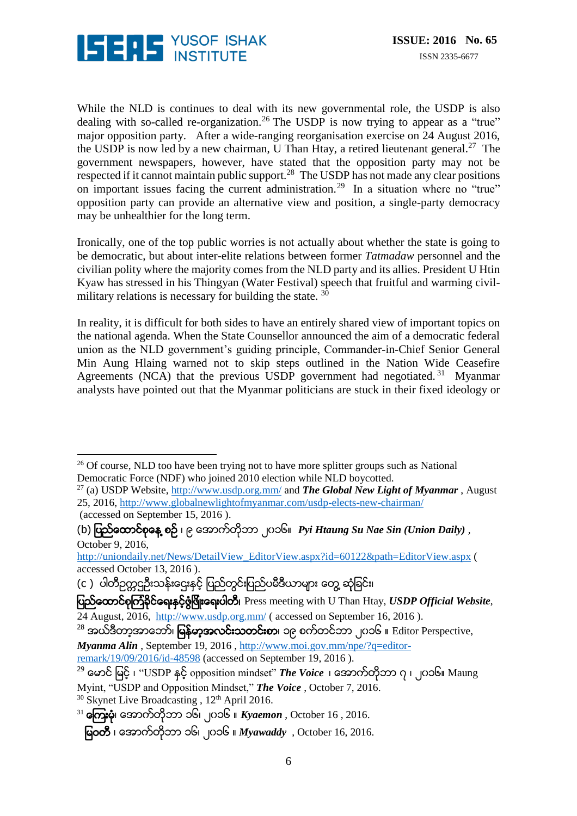

While the NLD is continues to deal with its new governmental role, the USDP is also dealing with so-called re-organization.<sup>26</sup> The USDP is now trying to appear as a "true" major opposition party. After a wide-ranging reorganisation exercise on 24 August 2016, the USDP is now led by a new chairman, U Than Htay, a retired lieutenant general.<sup>27</sup> The government newspapers, however, have stated that the opposition party may not be respected if it cannot maintain public support.<sup>28</sup> The USDP has not made any clear positions on important issues facing the current administration.<sup>29</sup> In a situation where no "true" opposition party can provide an alternative view and position, a single-party democracy may be unhealthier for the long term.

Ironically, one of the top public worries is not actually about whether the state is going to be democratic, but about inter-elite relations between former *Tatmadaw* personnel and the civilian polity where the majority comes from the NLD party and its allies. President U Htin Kyaw has stressed in his Thingyan (Water Festival) speech that fruitful and warming civilmilitary relations is necessary for building the state. 30

In reality, it is difficult for both sides to have an entirely shared view of important topics on the national agenda. When the State Counsellor announced the aim of a democratic federal union as the NLD government's guiding principle, Commander-in-Chief Senior General Min Aung Hlaing warned not to skip steps outlined in the Nation Wide Ceasefire Agreements (NCA) that the previous USDP government had negotiated.<sup>31</sup> Myanmar analysts have pointed out that the Myanmar politicians are stuck in their fixed ideology or

[http://uniondaily.net/News/DetailView\\_EditorView.aspx?id=60122&path=EditorView.aspx](http://uniondaily.net/News/DetailView_EditorView.aspx?id=60122&path=EditorView.aspx) ( accessed October 13, 2016 ).

(c ) ပါတီဥက္ကဌဦးသန်းဌေးနှင့် ပြည်တွင်းပြည်ပမီဒီယာများ တွေ့ ဆုံခြင်း၊

ျပည္ေထာင္စုၾကံခိုင္ေရးႏွင့္ဖြံျဖိဳးေရးပါတီ၊ Press meeting with U Than Htay, *USDP Official Website*,  $24$  August, 2016,<http://www.usdp.org.mm/> (accessed on September 16, 2016).

*Myanma Alin* , September 19, 2016 , [http://www.moi.gov.mm/npe/?q=editor](http://www.moi.gov.mm/npe/?q=editor-remark/19/09/2016/id-48598)[remark/19/09/2016/id-48598](http://www.moi.gov.mm/npe/?q=editor-remark/19/09/2016/id-48598) (accessed on September 19, 2016).

 $\overline{a}$  $26$  Of course, NLD too have been trying not to have more splitter groups such as National Democratic Force (NDF) who joined 2010 election while NLD boycotted.

<sup>27</sup> (a) USDP Website,<http://www.usdp.org.mm/> and *The Global New Light of Myanmar* , August 25, 2016,<http://www.globalnewlightofmyanmar.com/usdp-elects-new-chairman/> (accessed on September 15, 2016 ).

<sup>(</sup>b) ျပည္ေထာင္စုေန ့စဥ္၊ ၉ ေအာက္တုိဘာ ၂၀၁၆။ *Pyi Htaung Su Nae Sin (Union Daily) ,*  October 9, 2016,

<sup>&</sup>lt;sup>28</sup> အယ်ဒီတာ့အာဘော်၊ **မြန်မာ့အလင်းသတင်းစာ**၊ ၁၉ စက်တင်ဘာ ၂၀၁၆ ။ Editor Perspective,

<sup>&</sup>lt;sup>29</sup> မောင် မြင့် ၊ "USDP နှင့် opposition mindset" *The Voice* ၊ အောက်တိုဘာ ဂု ၊ ၂၀၁၆။ Maung Myint, "USDP and Opposition Mindset," *The Voice* , October 7, 2016. <sup>30</sup> Skynet Live Broadcasting, 12<sup>th</sup> April 2016.

<sup>&</sup>lt;sup>31</sup> **ကြေးမုံ**၊ အောက်တိုဘာ ၁၆၊ ၂၀၁၆ ။ *Kyaemon* , October 16 , 2016.

ျမဝတီ ၊ ေအာက္တိုဘာ ၁၆၊ ၂၀၁၆ ။ *Myawaddy* , October 16, 2016.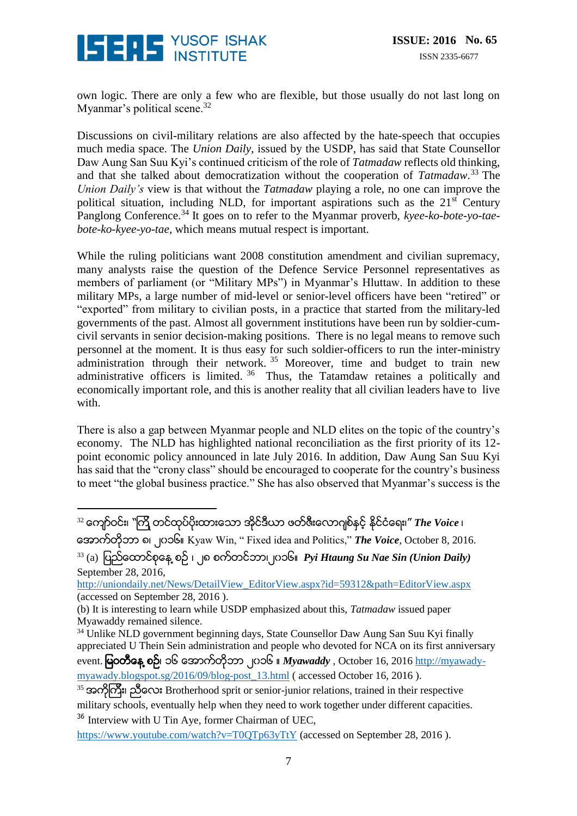

own logic. There are only a few who are flexible, but those usually do not last long on Myanmar's political scene.<sup>32</sup>

Discussions on civil-military relations are also affected by the hate-speech that occupies much media space. The *Union Daily*, issued by the USDP, has said that State Counsellor Daw Aung San Suu Kyi's continued criticism of the role of *Tatmadaw* reflects old thinking, and that she talked about democratization without the cooperation of *Tatmadaw*. <sup>33</sup> The *Union Daily's* view is that without the *Tatmadaw* playing a role, no one can improve the political situation, including NLD, for important aspirations such as the  $21<sup>st</sup>$  Century Panglong Conference.<sup>34</sup> It goes on to refer to the Myanmar proverb, *kyee-ko-bote-yo-taebote-ko-kyee-yo-tae,* which means mutual respect is important*.*

While the ruling politicians want 2008 constitution amendment and civilian supremacy, many analysts raise the question of the Defence Service Personnel representatives as members of parliament (or "Military MPs") in Myanmar's Hluttaw. In addition to these military MPs, a large number of mid-level or senior-level officers have been "retired" or "exported" from military to civilian posts, in a practice that started from the military-led governments of the past. Almost all government institutions have been run by soldier-cumcivil servants in senior decision-making positions. There is no legal means to remove such personnel at the moment. It is thus easy for such soldier-officers to run the inter-ministry administration through their network.  $35$  Moreover, time and budget to train new administrative officers is limited.  $36$  Thus, the Tatamdaw retaines a politically and economically important role, and this is another reality that all civilian leaders have to live with.

There is also a gap between Myanmar people and NLD elites on the topic of the country's economy. The NLD has highlighted national reconciliation as the first priority of its 12 point economic policy announced in late July 2016. In addition, Daw Aung San Suu Kyi has said that the "crony class" should be encouraged to cooperate for the country's business to meet "the global business practice." She has also observed that Myanmar's success is the

 $\overline{a}$ <sup>32</sup> ကျော်ဝင်း၊ ``ကြိ တင်ထုပ်ပိုးထားသော အိုင်ဒီယာ ဖတ်ဇီးလောဂျစ်နှင့် နိုင်ငံရေး၊*" The Voice* ၊

ေအာက္တိုဘာ ၈၊ ၂၀၁၆။ Kyaw Win, " Fixed idea and Politics," *The Voice,* October 8, 2016.

<sup>33</sup> (a) ပြည်ထောင်စုနေ့ စဉ် ၊ ၂၈ စက်တင်ဘာ၊ ၂၀၁၆။ *Pyi Htaung Su Nae Sin (Union Daily)* September 28, 2016,

[http://uniondaily.net/News/DetailView\\_EditorView.aspx?id=59312&path=EditorView.aspx](http://uniondaily.net/News/DetailView_EditorView.aspx?id=59312&path=EditorView.aspx) (accessed on September 28, 2016 ).

(b) It is interesting to learn while USDP emphasized about this, *Tatmadaw* issued paper Myawaddy remained silence.

<sup>34</sup> Unlike NLD government beginning days, State Counsellor Daw Aung San Suu Kyi finally appreciated U Thein Sein administration and people who devoted for NCA on its first anniversary event. ျမဝတီေန ့စဥ္၊ ၁၆ ေအာက္တိုဘာ ၂၀၁၆ ။ *Myawaddy* , October 16, 2016 [http://myawady](http://myawady-myawady.blogspot.sg/2016/09/blog-post_13.html)[myawady.blogspot.sg/2016/09/blog-post\\_13.html](http://myawady-myawady.blogspot.sg/2016/09/blog-post_13.html) ( accessed October 16, 2016 ).

<sup>35</sup> အကိုကြီး၊ ညီလေး Brotherhood sprit or senior-junior relations, trained in their respective military schools, eventually help when they need to work together under different capacities. <sup>36</sup> Interview with U Tin Aye, former Chairman of UEC,

<https://www.youtube.com/watch?v=T0QTp63yTtY> (accessed on September 28, 2016).